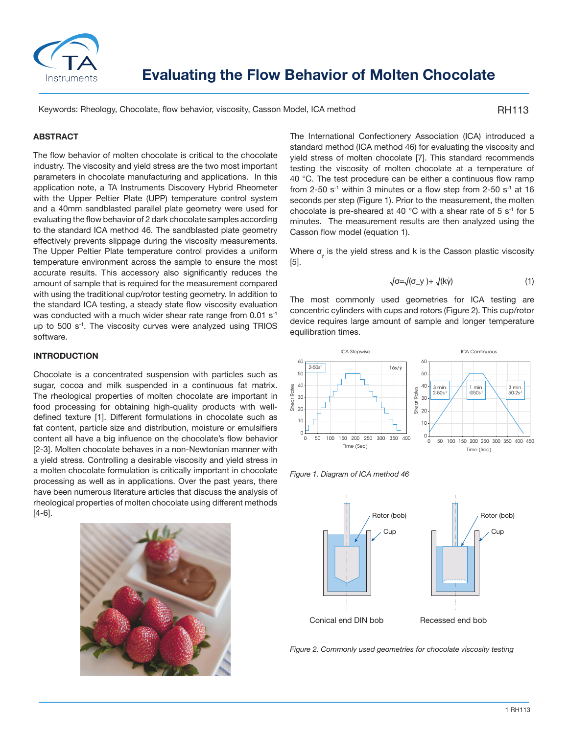

Keywords: Rheology, Chocolate, flow behavior, viscosity, Casson Model, ICA method

RH113

## **ABSTRACT**

The flow behavior of molten chocolate is critical to the chocolate industry. The viscosity and yield stress are the two most important parameters in chocolate manufacturing and applications. In this application note, a TA Instruments Discovery Hybrid Rheometer with the Upper Peltier Plate (UPP) temperature control system and a 40mm sandblasted parallel plate geometry were used for evaluating the flow behavior of 2 dark chocolate samples according to the standard ICA method 46. The sandblasted plate geometry effectively prevents slippage during the viscosity measurements. The Upper Peltier Plate temperature control provides a uniform temperature environment across the sample to ensure the most accurate results. This accessory also significantly reduces the amount of sample that is required for the measurement compared with using the traditional cup/rotor testing geometry. In addition to the standard ICA testing, a steady state flow viscosity evaluation was conducted with a much wider shear rate range from  $0.01$  s<sup>-1</sup> up to 500 s<sup>-1</sup>. The viscosity curves were analyzed using TRIOS software.

#### **INTRODUCTION**

Chocolate is a concentrated suspension with particles such as sugar, cocoa and milk suspended in a continuous fat matrix. The rheological properties of molten chocolate are important in food processing for obtaining high-quality products with welldefined texture [1]. Different formulations in chocolate such as fat content, particle size and distribution, moisture or emulsifiers content all have a big influence on the chocolate's flow behavior [2-3]. Molten chocolate behaves in a non-Newtonian manner with a yield stress. Controlling a desirable viscosity and yield stress in a molten chocolate formulation is critically important in chocolate processing as well as in applications. Over the past years, there have been numerous literature articles that discuss the analysis of rheological properties of molten chocolate using different methods [4-6].



The International Confectionery Association (ICA) introduced a standard method (ICA method 46) for evaluating the viscosity and yield stress of molten chocolate [7]. This standard recommends testing the viscosity of molten chocolate at a temperature of 40 °C. The test procedure can be either a continuous flow ramp from 2-50 s<sup>-1</sup> within 3 minutes or a flow step from 2-50 s<sup>-1</sup> at 16 seconds per step (Figure 1). Prior to the measurement, the molten chocolate is pre-sheared at 40  $^{\circ}$ C with a shear rate of 5 s<sup>-1</sup> for 5 minutes. The measurement results are then analyzed using the Casson flow model (equation 1).

Where  $\sigma_{\!\scriptscriptstyle\rm y}$  is the yield stress and k is the Casson plastic viscosity [5].

$$
\sqrt{\sigma} = \sqrt{(\sigma_y + \sqrt{k\gamma})}
$$
 (1)

The most commonly used geometries for ICA testing are concentric cylinders with cups and rotors (Figure 2). This cup/rotor device requires large amount of sample and longer temperature equilibration times.



*Figure 1. Diagram of ICA method 46*

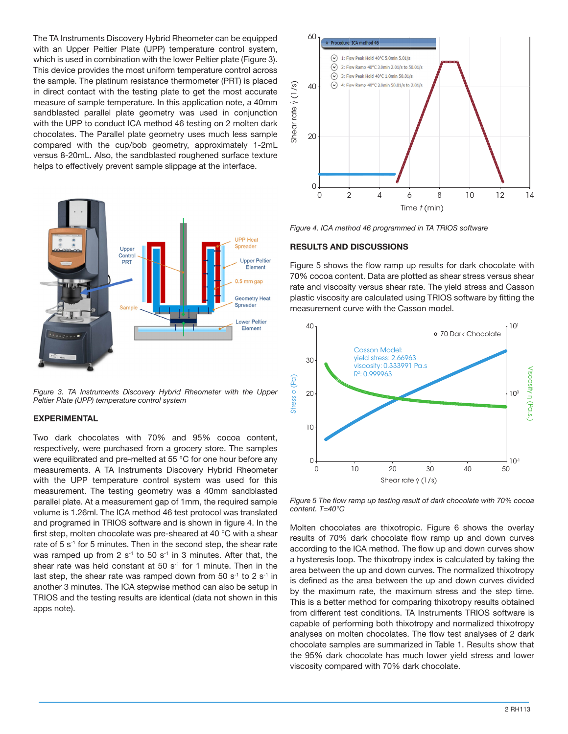The TA Instruments Discovery Hybrid Rheometer can be equipped with an Upper Peltier Plate (UPP) temperature control system, which is used in combination with the lower Peltier plate (Figure 3). This device provides the most uniform temperature control across the sample. The platinum resistance thermometer (PRT) is placed in direct contact with the testing plate to get the most accurate measure of sample temperature. In this application note, a 40mm sandblasted parallel plate geometry was used in conjunction with the UPP to conduct ICA method 46 testing on 2 molten dark chocolates. The Parallel plate geometry uses much less sample compared with the cup/bob geometry, approximately 1-2mL versus 8-20mL. Also, the sandblasted roughened surface texture helps to effectively prevent sample slippage at the interface.



*Figure 3. TA Instruments Discovery Hybrid Rheometer with the Upper Peltier Plate (UPP) temperature control system*

## **EXPERIMENTAL**

Two dark chocolates with 70% and 95% cocoa content, respectively, were purchased from a grocery store. The samples were equilibrated and pre-melted at 55 °C for one hour before any measurements. A TA Instruments Discovery Hybrid Rheometer with the UPP temperature control system was used for this measurement. The testing geometry was a 40mm sandblasted parallel plate. At a measurement gap of 1mm, the required sample volume is 1.26ml. The ICA method 46 test protocol was translated and programed in TRIOS software and is shown in figure 4. In the first step, molten chocolate was pre-sheared at 40 °C with a shear rate of 5 s<sup>-1</sup> for 5 minutes. Then in the second step, the shear rate was ramped up from 2  $s^{-1}$  to 50  $s^{-1}$  in 3 minutes. After that, the shear rate was held constant at 50 s<sup>-1</sup> for 1 minute. Then in the last step, the shear rate was ramped down from 50  $s^{-1}$  to 2  $s^{-1}$  in another 3 minutes. The ICA stepwise method can also be setup in TRIOS and the testing results are identical (data not shown in this apps note).



*Figure 4. ICA method 46 programmed in TA TRIOS software*

#### **RESULTS AND DISCUSSIONS**

Figure 5 shows the flow ramp up results for dark chocolate with 70% cocoa content. Data are plotted as shear stress versus shear rate and viscosity versus shear rate. The yield stress and Casson plastic viscosity are calculated using TRIOS software by fitting the measurement curve with the Casson model.



*Figure 5 The flow ramp up testing result of dark chocolate with 70% cocoa content. T=40°C*

Molten chocolates are thixotropic. Figure 6 shows the overlay results of 70% dark chocolate flow ramp up and down curves according to the ICA method. The flow up and down curves show a hysteresis loop. The thixotropy index is calculated by taking the area between the up and down curves. The normalized thixotropy is defined as the area between the up and down curves divided by the maximum rate, the maximum stress and the step time. This is a better method for comparing thixotropy results obtained from different test conditions. TA Instruments TRIOS software is capable of performing both thixotropy and normalized thixotropy analyses on molten chocolates. The flow test analyses of 2 dark chocolate samples are summarized in Table 1. Results show that the 95% dark chocolate has much lower yield stress and lower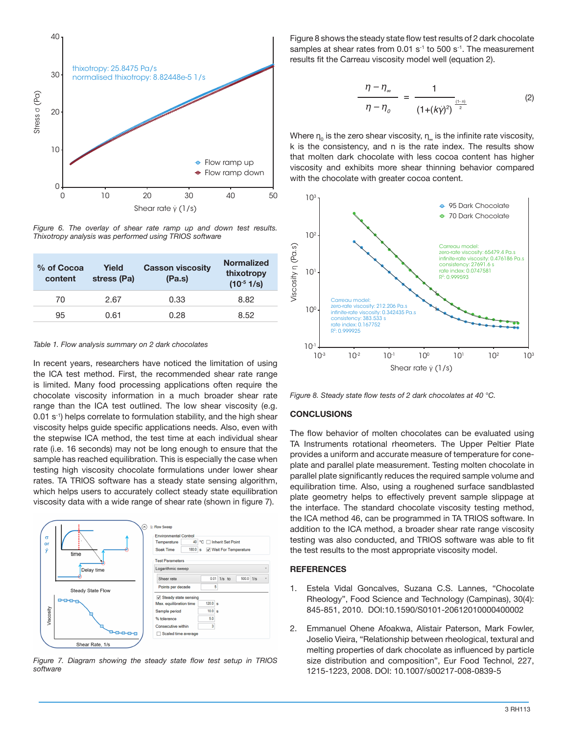

*Figure 6. The overlay of shear rate ramp up and down test results. Thixotropy analysis was performed using TRIOS software*

| % of Cocoa<br>content | Yield<br>stress (Pa) | <b>Casson viscosity</b><br>(Pa.s) | <b>Normalized</b><br>thixotropy<br>$(10^{-5} 1/s)$ |
|-----------------------|----------------------|-----------------------------------|----------------------------------------------------|
| 70                    | 2.67                 | 0.33                              | 8.82                                               |
| 95                    | 0.61                 | 0.28                              | 8.52                                               |

#### *Table 1. Flow analysis summary on 2 dark chocolates*

In recent years, researchers have noticed the limitation of using the ICA test method. First, the recommended shear rate range is limited. Many food processing applications often require the chocolate viscosity information in a much broader shear rate range than the ICA test outlined. The low shear viscosity (e.g. 0.01 s<sup>-1</sup>) helps correlate to formulation stability, and the high shear viscosity helps guide specific applications needs. Also, even with the stepwise ICA method, the test time at each individual shear rate (i.e. 16 seconds) may not be long enough to ensure that the sample has reached equilibration. This is especially the case when testing high viscosity chocolate formulations under lower shear rates. TA TRIOS software has a steady state sensing algorithm, which helps users to accurately collect steady state equilibration viscosity data with a wide range of shear rate (shown in figure 7).



*Figure 7. Diagram showing the steady state flow test setup in TRIOS software*

Figure 8 shows the steady state flow test results of 2 dark chocolate samples at shear rates from  $0.01$  s<sup>-1</sup> to  $500$  s<sup>-1</sup>. The measurement results fit the Carreau viscosity model well (equation 2).

$$
\frac{\eta - \eta_{\infty}}{\eta - \eta_{o}} = \frac{1}{(1 + (k\dot{\gamma})^2)^{\frac{(1 - n)}{2}}} \tag{2}
$$

Where  $\boldsymbol{\mathsf n}_0$  is the zero shear viscosity,  $\boldsymbol{\mathsf n}_\omega$  is the infinite rate viscosity, k is the consistency, and n is the rate index. The results show that molten dark chocolate with less cocoa content has higher viscosity and exhibits more shear thinning behavior compared with the chocolate with greater cocoa content.



*Figure 8. Steady state flow tests of 2 dark chocolates at 40 °C.*

### **CONCLUSIONS**

The flow behavior of molten chocolates can be evaluated using TA Instruments rotational rheometers. The Upper Peltier Plate provides a uniform and accurate measure of temperature for coneplate and parallel plate measurement. Testing molten chocolate in parallel plate significantly reduces the required sample volume and equilibration time. Also, using a roughened surface sandblasted plate geometry helps to effectively prevent sample slippage at the interface. The standard chocolate viscosity testing method, the ICA method 46, can be programmed in TA TRIOS software. In addition to the ICA method, a broader shear rate range viscosity testing was also conducted, and TRIOS software was able to fit the test results to the most appropriate viscosity model.

#### **REFERENCES**

- 1. Estela Vidal Goncalves, Suzana C.S. Lannes, "Chocolate Rheology", Food Science and Technology (Campinas), 30(4): 845-851, 2010. DOI:10.1590/S0101-20612010000400002
- 2. Emmanuel Ohene Afoakwa, Alistair Paterson, Mark Fowler, Joselio Vieira, "Relationship between rheological, textural and melting properties of dark chocolate as influenced by particle size distribution and composition", Eur Food Technol, 227, 1215-1223, 2008. DOI: 10.1007/s00217-008-0839-5